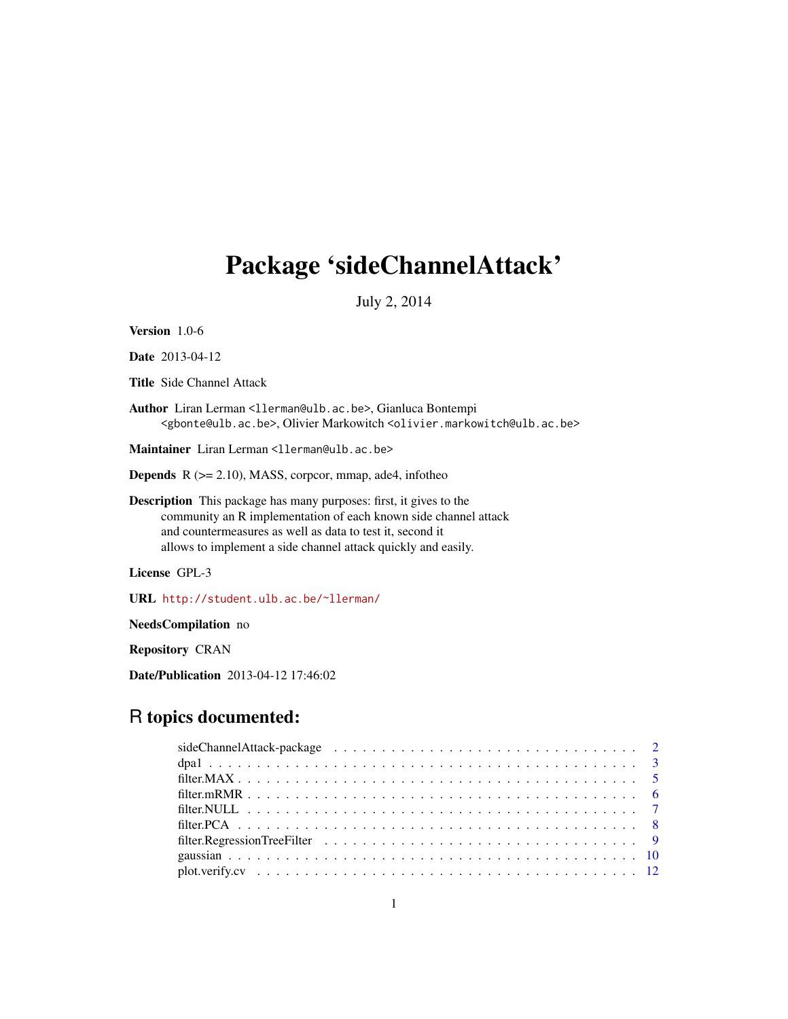## Package 'sideChannelAttack'

July 2, 2014

Version 1.0-6

Date 2013-04-12

Title Side Channel Attack

Author Liran Lerman <llerman@ulb.ac.be>, Gianluca Bontempi <gbonte@ulb.ac.be>, Olivier Markowitch <olivier.markowitch@ulb.ac.be>

Maintainer Liran Lerman <llerman@ulb.ac.be>

Depends R (>= 2.10), MASS, corpcor, mmap, ade4, infotheo

Description This package has many purposes: first, it gives to the community an R implementation of each known side channel attack and countermeasures as well as data to test it, second it allows to implement a side channel attack quickly and easily.

License GPL-3

URL <http://student.ulb.ac.be/~llerman/>

NeedsCompilation no

Repository CRAN

Date/Publication 2013-04-12 17:46:02

## R topics documented: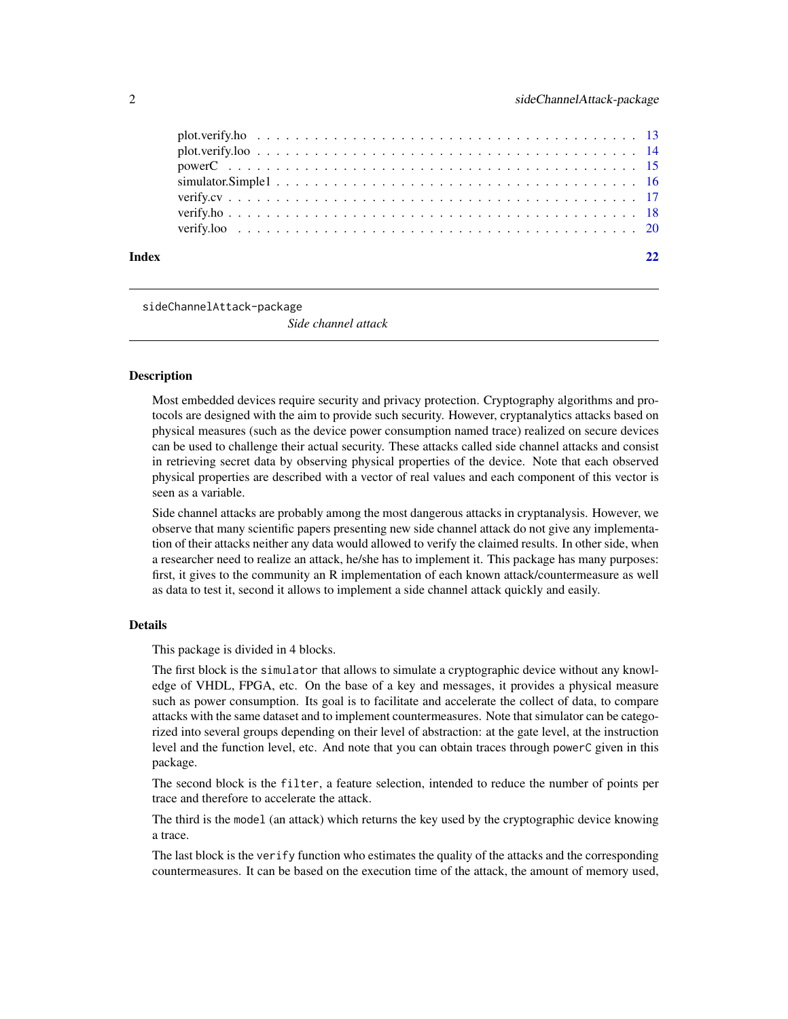<span id="page-1-0"></span>

| Index | 22 |
|-------|----|
|       |    |
|       |    |
|       |    |
|       |    |
|       |    |

sideChannelAttack-package

*Side channel attack*

#### Description

Most embedded devices require security and privacy protection. Cryptography algorithms and protocols are designed with the aim to provide such security. However, cryptanalytics attacks based on physical measures (such as the device power consumption named trace) realized on secure devices can be used to challenge their actual security. These attacks called side channel attacks and consist in retrieving secret data by observing physical properties of the device. Note that each observed physical properties are described with a vector of real values and each component of this vector is seen as a variable.

Side channel attacks are probably among the most dangerous attacks in cryptanalysis. However, we observe that many scientific papers presenting new side channel attack do not give any implementation of their attacks neither any data would allowed to verify the claimed results. In other side, when a researcher need to realize an attack, he/she has to implement it. This package has many purposes: first, it gives to the community an R implementation of each known attack/countermeasure as well as data to test it, second it allows to implement a side channel attack quickly and easily.

#### Details

This package is divided in 4 blocks.

The first block is the simulator that allows to simulate a cryptographic device without any knowledge of VHDL, FPGA, etc. On the base of a key and messages, it provides a physical measure such as power consumption. Its goal is to facilitate and accelerate the collect of data, to compare attacks with the same dataset and to implement countermeasures. Note that simulator can be categorized into several groups depending on their level of abstraction: at the gate level, at the instruction level and the function level, etc. And note that you can obtain traces through powerC given in this package.

The second block is the filter, a feature selection, intended to reduce the number of points per trace and therefore to accelerate the attack.

The third is the model (an attack) which returns the key used by the cryptographic device knowing a trace.

The last block is the verify function who estimates the quality of the attacks and the corresponding countermeasures. It can be based on the execution time of the attack, the amount of memory used,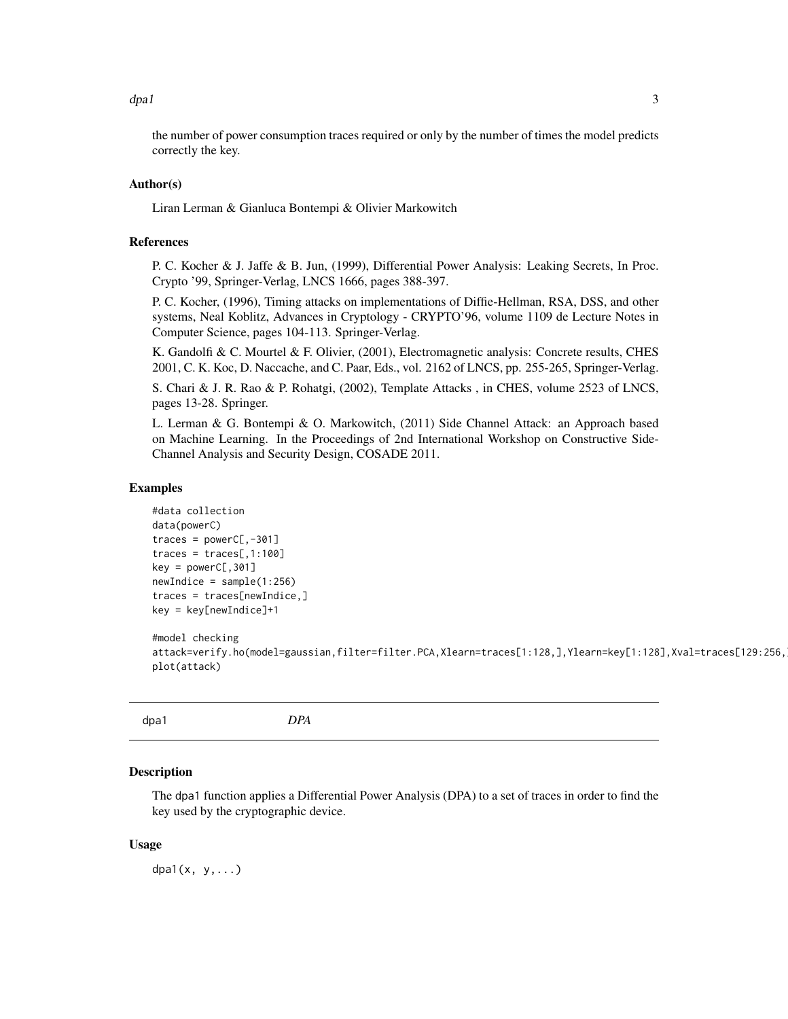<span id="page-2-0"></span>the number of power consumption traces required or only by the number of times the model predicts correctly the key.

#### Author(s)

Liran Lerman & Gianluca Bontempi & Olivier Markowitch

## References

P. C. Kocher & J. Jaffe & B. Jun, (1999), Differential Power Analysis: Leaking Secrets, In Proc. Crypto '99, Springer-Verlag, LNCS 1666, pages 388-397.

P. C. Kocher, (1996), Timing attacks on implementations of Diffie-Hellman, RSA, DSS, and other systems, Neal Koblitz, Advances in Cryptology - CRYPTO'96, volume 1109 de Lecture Notes in Computer Science, pages 104-113. Springer-Verlag.

K. Gandolfi & C. Mourtel & F. Olivier, (2001), Electromagnetic analysis: Concrete results, CHES 2001, C. K. Koc, D. Naccache, and C. Paar, Eds., vol. 2162 of LNCS, pp. 255-265, Springer-Verlag.

S. Chari & J. R. Rao & P. Rohatgi, (2002), Template Attacks , in CHES, volume 2523 of LNCS, pages 13-28. Springer.

L. Lerman & G. Bontempi & O. Markowitch, (2011) Side Channel Attack: an Approach based on Machine Learning. In the Proceedings of 2nd International Workshop on Constructive Side-Channel Analysis and Security Design, COSADE 2011.

## Examples

```
#data collection
data(powerC)
traces = powerC[, -301]traces = traces[, 1:100]key = powerC[, 301]newIndice = sample(1:256)traces = traces[newIndice,]
key = key[newIndice]+1
#model checking
attack=verify.ho(model=gaussian,filter=filter.PCA,Xlearn=traces[1:128,],Ylearn=key[1:128],Xval=traces[129:256,
plot(attack)
```

| dpa1 | <b>DPA</b><br>---- |  |
|------|--------------------|--|
|------|--------------------|--|

## **Description**

The dpa1 function applies a Differential Power Analysis (DPA) to a set of traces in order to find the key used by the cryptographic device.

#### Usage

 $dpa1(x, y, \ldots)$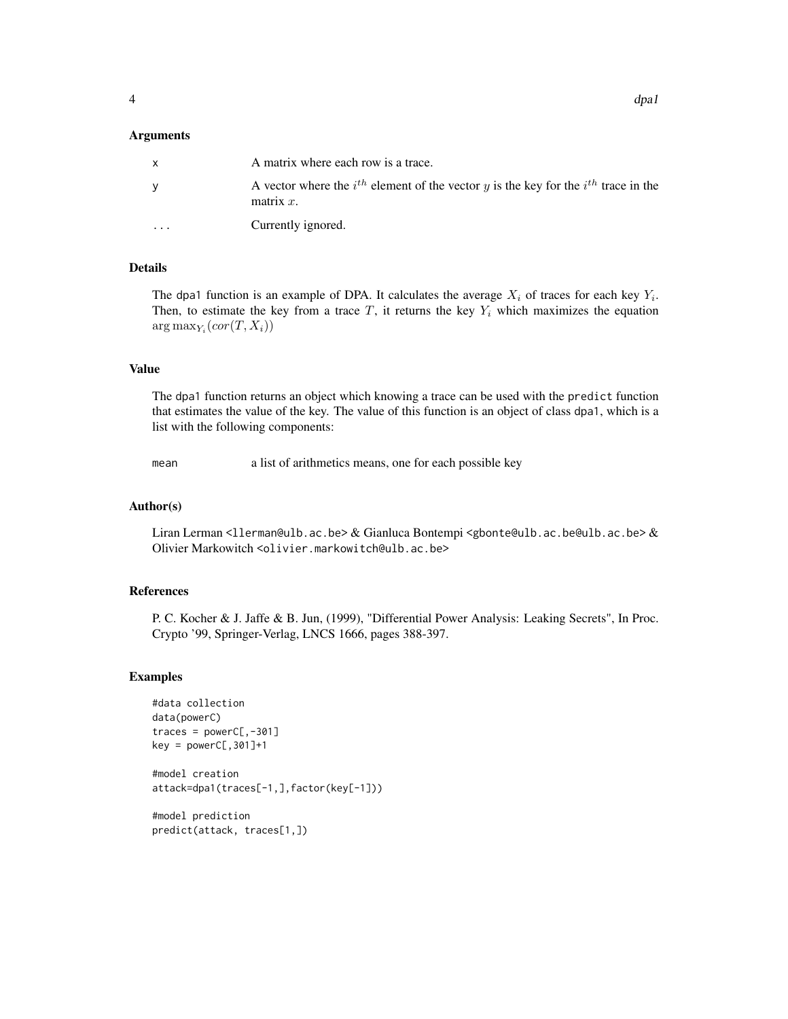#### Arguments

| X        | A matrix where each row is a trace.                                                                          |
|----------|--------------------------------------------------------------------------------------------------------------|
| y        | A vector where the $i^{th}$ element of the vector y is the key for the $i^{th}$ trace in the<br>matrix $x$ . |
| $\cdots$ | Currently ignored.                                                                                           |

## Details

The dpa1 function is an example of DPA. It calculates the average  $X_i$  of traces for each key  $Y_i$ . Then, to estimate the key from a trace  $T$ , it returns the key  $Y_i$  which maximizes the equation  $arg max_{Y_i}(cor(T, X_i))$ 

#### Value

The dpa1 function returns an object which knowing a trace can be used with the predict function that estimates the value of the key. The value of this function is an object of class dpa1, which is a list with the following components:

mean a list of arithmetics means, one for each possible key

#### Author(s)

Liran Lerman <llerman@ulb.ac.be> & Gianluca Bontempi <gbonte@ulb.ac.be@ulb.ac.be> & Olivier Markowitch <olivier.markowitch@ulb.ac.be>

#### References

P. C. Kocher & J. Jaffe & B. Jun, (1999), "Differential Power Analysis: Leaking Secrets", In Proc. Crypto '99, Springer-Verlag, LNCS 1666, pages 388-397.

#### Examples

```
#data collection
data(powerC)
traces = powerC[, -301]key = powerC[, 301] + 1#model creation
attack=dpa1(traces[-1,],factor(key[-1]))
```
#model prediction predict(attack, traces[1,])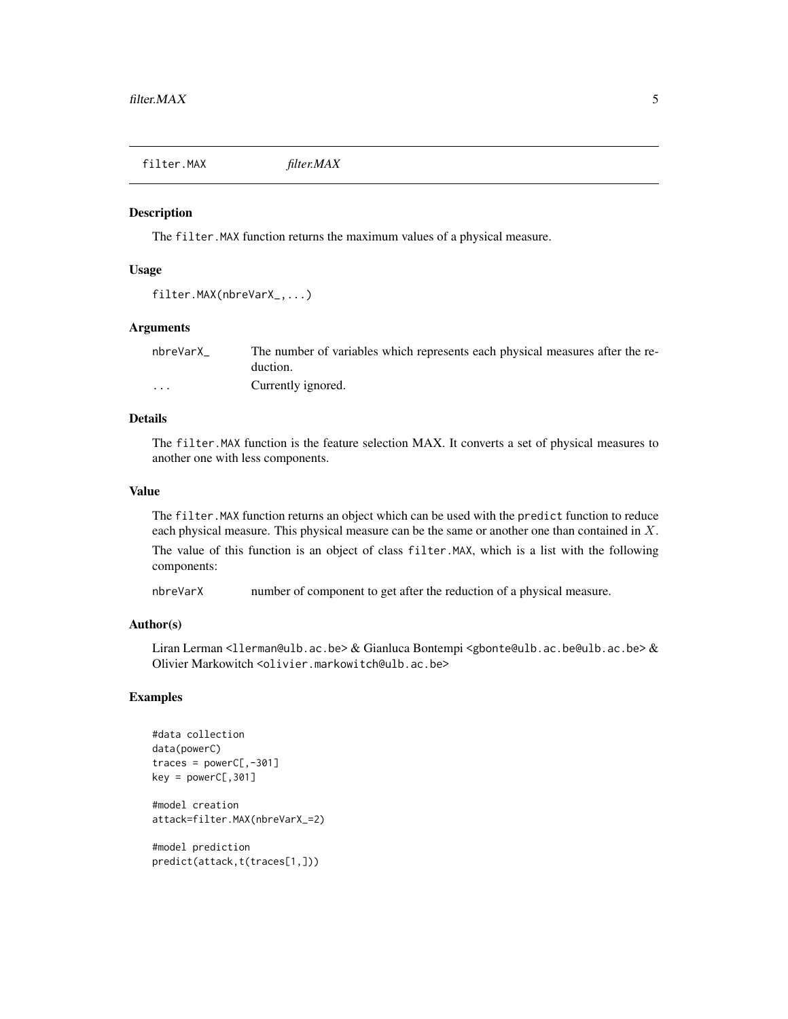<span id="page-4-0"></span>filter.MAX *filter.MAX*

#### Description

The filter.MAX function returns the maximum values of a physical measure.

## Usage

```
filter.MAX(nbreVarX_,...)
```
#### Arguments

| nbreVarX                | The number of variables which represents each physical measures after the re- |
|-------------------------|-------------------------------------------------------------------------------|
|                         | duction.                                                                      |
| $\cdot$ $\cdot$ $\cdot$ | Currently ignored.                                                            |

## Details

The filter.MAX function is the feature selection MAX. It converts a set of physical measures to another one with less components.

#### Value

The filter.MAX function returns an object which can be used with the predict function to reduce each physical measure. This physical measure can be the same or another one than contained in X. The value of this function is an object of class filter.MAX, which is a list with the following components:

nbreVarX number of component to get after the reduction of a physical measure.

## Author(s)

Liran Lerman <llerman@ulb.ac.be> & Gianluca Bontempi <gbonte@ulb.ac.be@ulb.ac.be> & Olivier Markowitch <olivier.markowitch@ulb.ac.be>

## Examples

```
#data collection
data(powerC)
traces = powerC[, -301]key = powerC[, 301]#model creation
attack=filter.MAX(nbreVarX_=2)
```
#model prediction predict(attack,t(traces[1,]))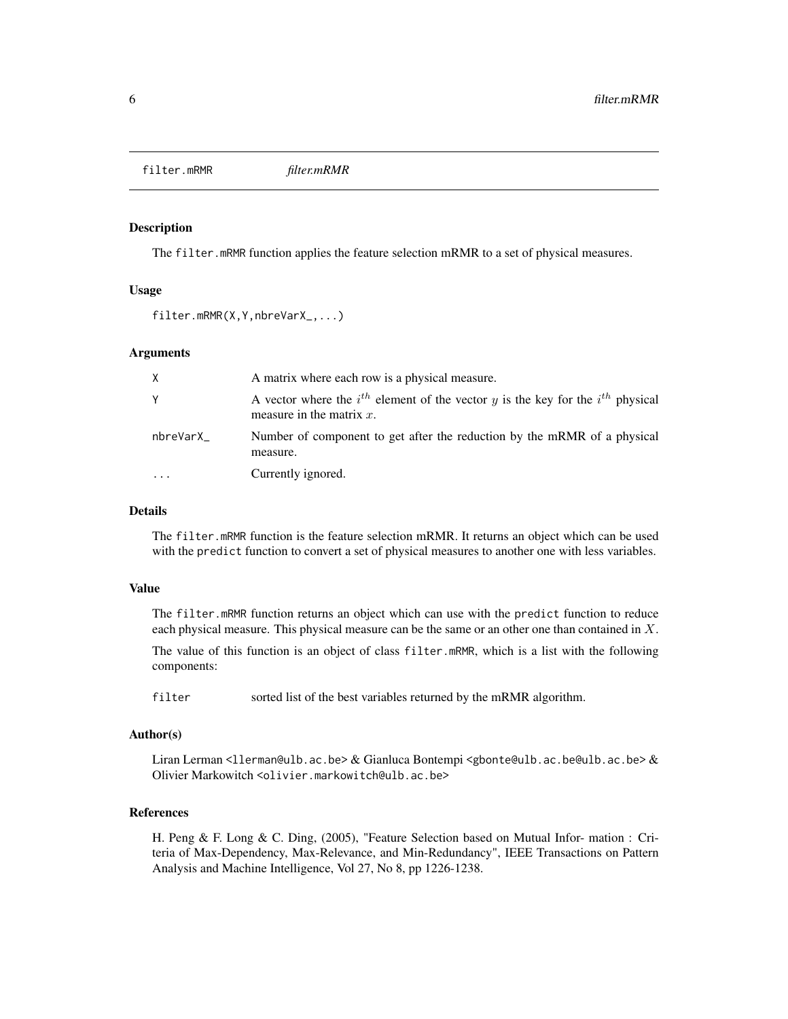<span id="page-5-0"></span>filter.mRMR *filter.mRMR*

## Description

The filter.mRMR function applies the feature selection mRMR to a set of physical measures.

#### Usage

```
filter.mRMR(X,Y,nbreVarX_,...)
```
#### Arguments

| X.        | A matrix where each row is a physical measure.                                                                          |
|-----------|-------------------------------------------------------------------------------------------------------------------------|
| Υ         | A vector where the $i^{th}$ element of the vector y is the key for the $i^{th}$ physical<br>measure in the matrix $x$ . |
| nbreVarX_ | Number of component to get after the reduction by the mRMR of a physical<br>measure.                                    |
| $\ddotsc$ | Currently ignored.                                                                                                      |

## Details

The filter.mRMR function is the feature selection mRMR. It returns an object which can be used with the predict function to convert a set of physical measures to another one with less variables.

## Value

The filter.mRMR function returns an object which can use with the predict function to reduce each physical measure. This physical measure can be the same or an other one than contained in  $X$ .

The value of this function is an object of class filter.mRMR, which is a list with the following components:

filter sorted list of the best variables returned by the mRMR algorithm.

## Author(s)

Liran Lerman <llerman@ulb.ac.be>  $\&$  Gianluca Bontempi <gbonte@ulb.ac.be@ulb.ac.be>  $\&$ Olivier Markowitch <olivier.markowitch@ulb.ac.be>

#### References

H. Peng & F. Long & C. Ding, (2005), "Feature Selection based on Mutual Infor- mation : Criteria of Max-Dependency, Max-Relevance, and Min-Redundancy", IEEE Transactions on Pattern Analysis and Machine Intelligence, Vol 27, No 8, pp 1226-1238.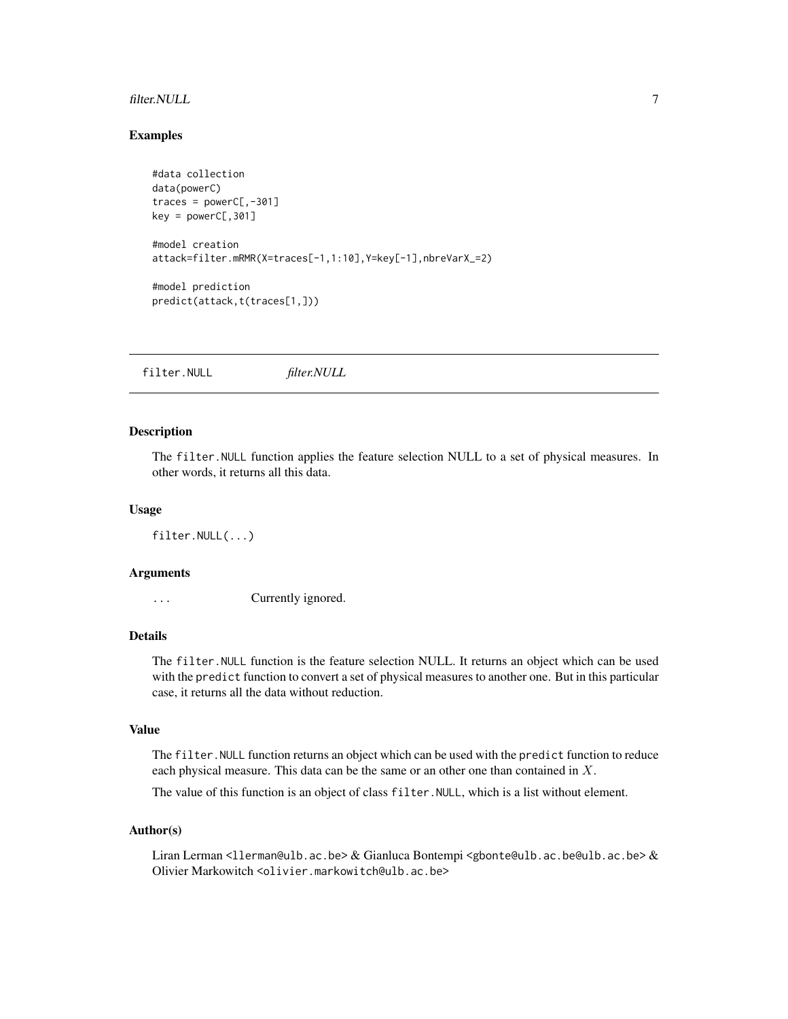#### <span id="page-6-0"></span>filter.NULL 7

## Examples

```
#data collection
data(powerC)
traces = powerC[, -301]key = powerC[, 301]#model creation
attack=filter.mRMR(X=traces[-1,1:10],Y=key[-1],nbreVarX_=2)
#model prediction
predict(attack,t(traces[1,]))
```
filter.NULL *filter.NULL*

## **Description**

The filter.NULL function applies the feature selection NULL to a set of physical measures. In other words, it returns all this data.

#### Usage

filter.NULL(...)

## Arguments

... Currently ignored.

## Details

The filter.NULL function is the feature selection NULL. It returns an object which can be used with the predict function to convert a set of physical measures to another one. But in this particular case, it returns all the data without reduction.

## Value

The filter.NULL function returns an object which can be used with the predict function to reduce each physical measure. This data can be the same or an other one than contained in X.

The value of this function is an object of class filter.NULL, which is a list without element.

#### Author(s)

Liran Lerman <llerman@ulb.ac.be> & Gianluca Bontempi <gbonte@ulb.ac.be@ulb.ac.be> & Olivier Markowitch <olivier.markowitch@ulb.ac.be>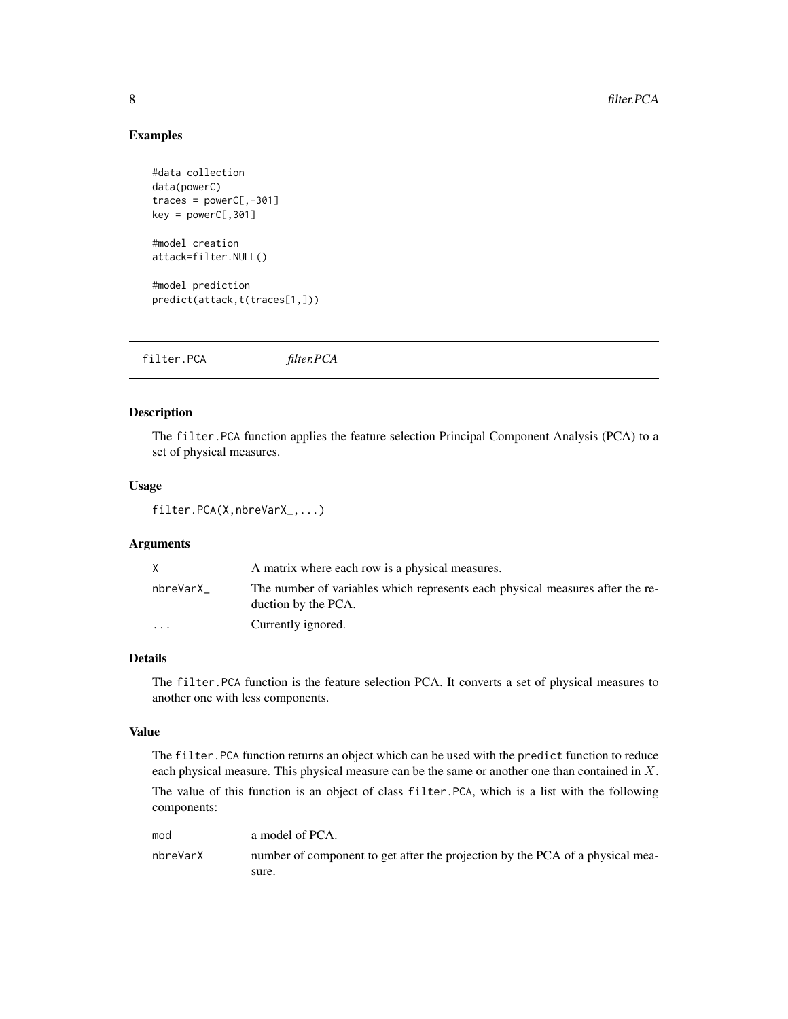## Examples

```
#data collection
data(powerC)
traces = powerC[, -301]key = powerC[, 301]#model creation
attack=filter.NULL()
#model prediction
predict(attack,t(traces[1,]))
```
filter.PCA *filter.PCA*

## Description

The filter.PCA function applies the feature selection Principal Component Analysis (PCA) to a set of physical measures.

## Usage

filter.PCA(X,nbreVarX\_,...)

## Arguments

| X        | A matrix where each row is a physical measures.                                                      |
|----------|------------------------------------------------------------------------------------------------------|
| nbreVarX | The number of variables which represents each physical measures after the re-<br>duction by the PCA. |
| $\cdots$ | Currently ignored.                                                                                   |

## Details

The filter.PCA function is the feature selection PCA. It converts a set of physical measures to another one with less components.

## Value

The filter.PCA function returns an object which can be used with the predict function to reduce each physical measure. This physical measure can be the same or another one than contained in X.

The value of this function is an object of class filter.PCA, which is a list with the following components:

| mod      | a model of PCA.                                                               |
|----------|-------------------------------------------------------------------------------|
| nbreVarX | number of component to get after the projection by the PCA of a physical mea- |
|          | sure.                                                                         |

<span id="page-7-0"></span>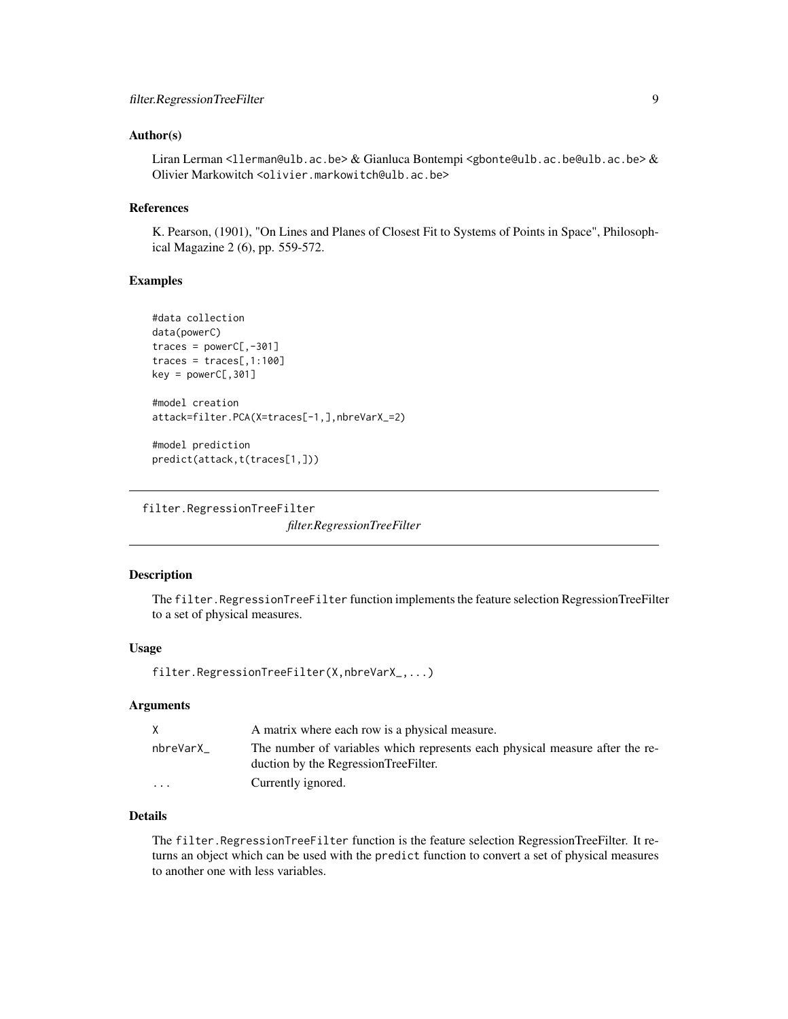#### <span id="page-8-0"></span>Author(s)

Liran Lerman <llerman@ulb.ac.be> & Gianluca Bontempi <gbonte@ulb.ac.be@ulb.ac.be> & Olivier Markowitch <olivier.markowitch@ulb.ac.be>

## References

K. Pearson, (1901), "On Lines and Planes of Closest Fit to Systems of Points in Space", Philosophical Magazine 2 (6), pp. 559-572.

#### Examples

```
#data collection
data(powerC)
traces = powerC[, -301]traces = traces[, 1:100]key = powerC[, 301]#model creation
attack=filter.PCA(X=traces[-1,],nbreVarX_=2)
#model prediction
predict(attack,t(traces[1,]))
```
filter.RegressionTreeFilter

*filter.RegressionTreeFilter*

## Description

The filter.RegressionTreeFilter function implements the feature selection RegressionTreeFilter to a set of physical measures.

#### Usage

filter.RegressionTreeFilter(X,nbreVarX\_,...)

#### Arguments

| X        | A matrix where each row is a physical measure.                                                                       |
|----------|----------------------------------------------------------------------------------------------------------------------|
| nbreVarX | The number of variables which represents each physical measure after the re-<br>duction by the RegressionTreeFilter. |
| $\cdots$ | Currently ignored.                                                                                                   |

## Details

The filter.RegressionTreeFilter function is the feature selection RegressionTreeFilter. It returns an object which can be used with the predict function to convert a set of physical measures to another one with less variables.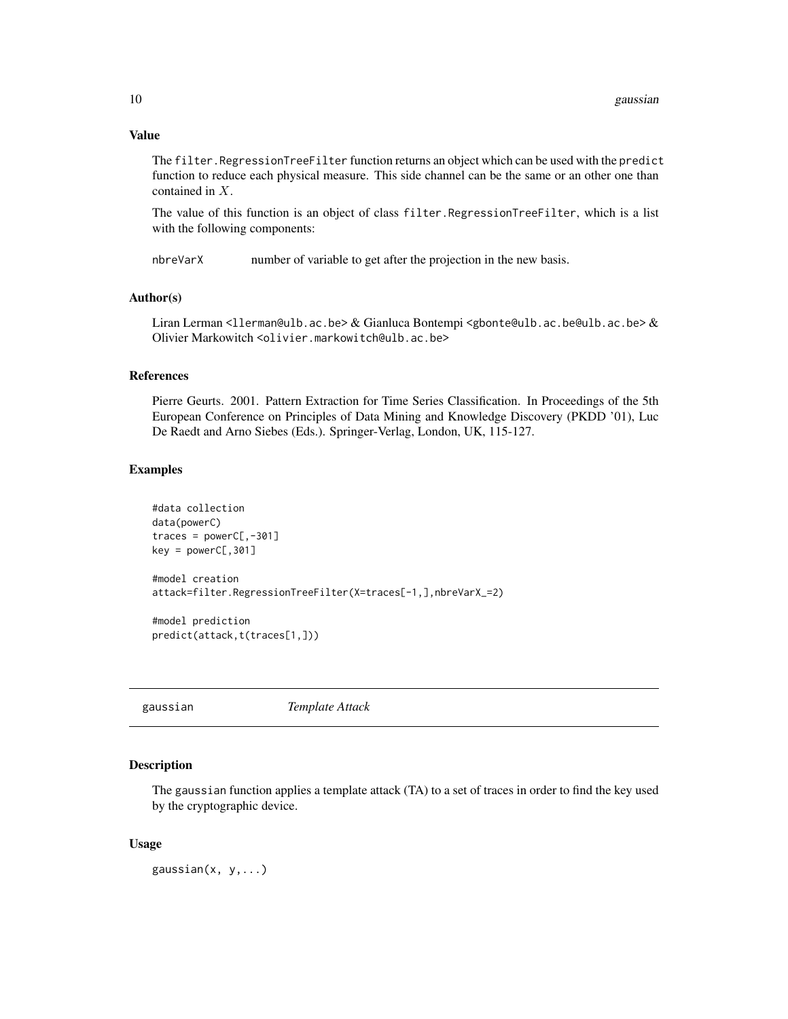## Value

The filter.RegressionTreeFilter function returns an object which can be used with the predict function to reduce each physical measure. This side channel can be the same or an other one than contained in X.

The value of this function is an object of class filter.RegressionTreeFilter, which is a list with the following components:

nbreVarX number of variable to get after the projection in the new basis.

#### Author(s)

Liran Lerman <llerman@ulb.ac.be> & Gianluca Bontempi <gbonte@ulb.ac.be@ulb.ac.be> & Olivier Markowitch <olivier.markowitch@ulb.ac.be>

#### References

Pierre Geurts. 2001. Pattern Extraction for Time Series Classification. In Proceedings of the 5th European Conference on Principles of Data Mining and Knowledge Discovery (PKDD '01), Luc De Raedt and Arno Siebes (Eds.). Springer-Verlag, London, UK, 115-127.

#### Examples

```
#data collection
data(powerC)
traces = powerC[, -301]key = powerC[, 301]#model creation
attack=filter.RegressionTreeFilter(X=traces[-1,],nbreVarX_=2)
#model prediction
predict(attack,t(traces[1,]))
```
gaussian *Template Attack*

## **Description**

The gaussian function applies a template attack (TA) to a set of traces in order to find the key used by the cryptographic device.

#### Usage

gaussian $(x, y, ...)$ 

<span id="page-9-0"></span>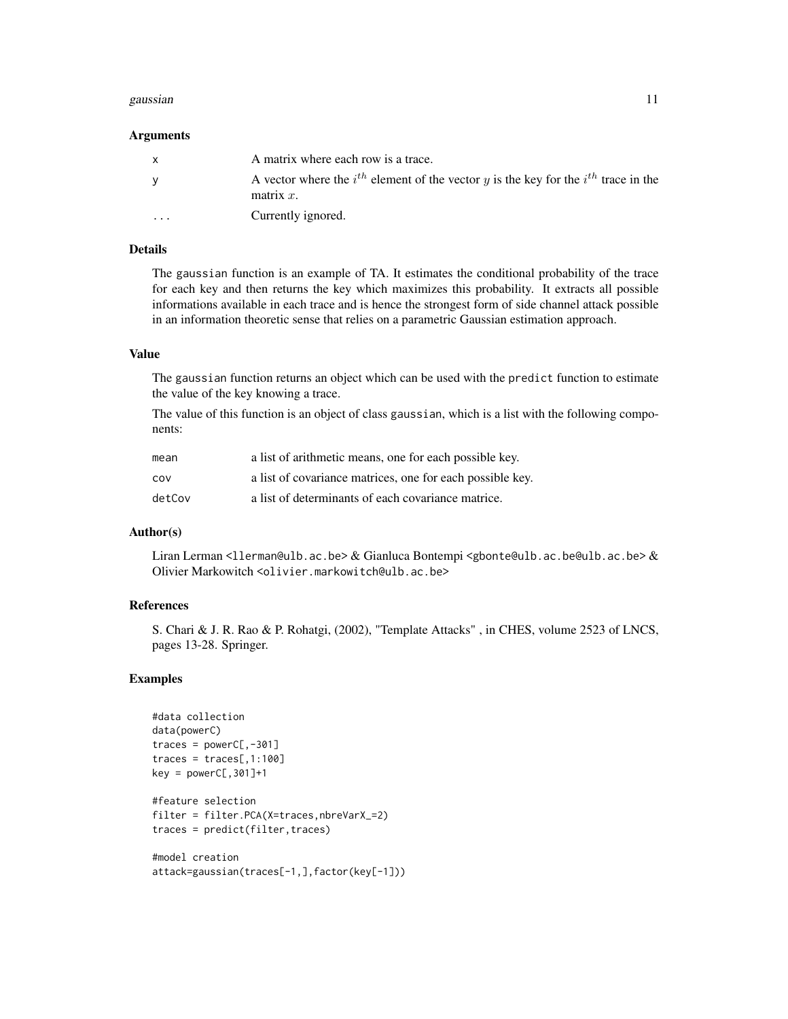#### gaussian 11

#### Arguments

| $\mathbf{x}$            | A matrix where each row is a trace.                                                                          |
|-------------------------|--------------------------------------------------------------------------------------------------------------|
| <b>V</b>                | A vector where the $i^{th}$ element of the vector y is the key for the $i^{th}$ trace in the<br>matrix $x$ . |
| $\cdot$ $\cdot$ $\cdot$ | Currently ignored.                                                                                           |

## Details

The gaussian function is an example of TA. It estimates the conditional probability of the trace for each key and then returns the key which maximizes this probability. It extracts all possible informations available in each trace and is hence the strongest form of side channel attack possible in an information theoretic sense that relies on a parametric Gaussian estimation approach.

## Value

The gaussian function returns an object which can be used with the predict function to estimate the value of the key knowing a trace.

The value of this function is an object of class gaussian, which is a list with the following components:

| mean   | a list of arithmetic means, one for each possible key.    |
|--------|-----------------------------------------------------------|
| COV    | a list of covariance matrices, one for each possible key. |
| detCov | a list of determinants of each covariance matrice.        |

#### Author(s)

Liran Lerman <llerman@ulb.ac.be> & Gianluca Bontempi <gbonte@ulb.ac.be@ulb.ac.be> & Olivier Markowitch <olivier.markowitch@ulb.ac.be>

## References

S. Chari & J. R. Rao & P. Rohatgi, (2002), "Template Attacks" , in CHES, volume 2523 of LNCS, pages 13-28. Springer.

```
#data collection
data(powerC)
traces = powerC[, -301]traces = traces[, 1:100]key = powerC[, 301] + 1#feature selection
filter = filter.PCA(X=traces,nbreVarX_=2)
traces = predict(filter, traces)
#model creation
```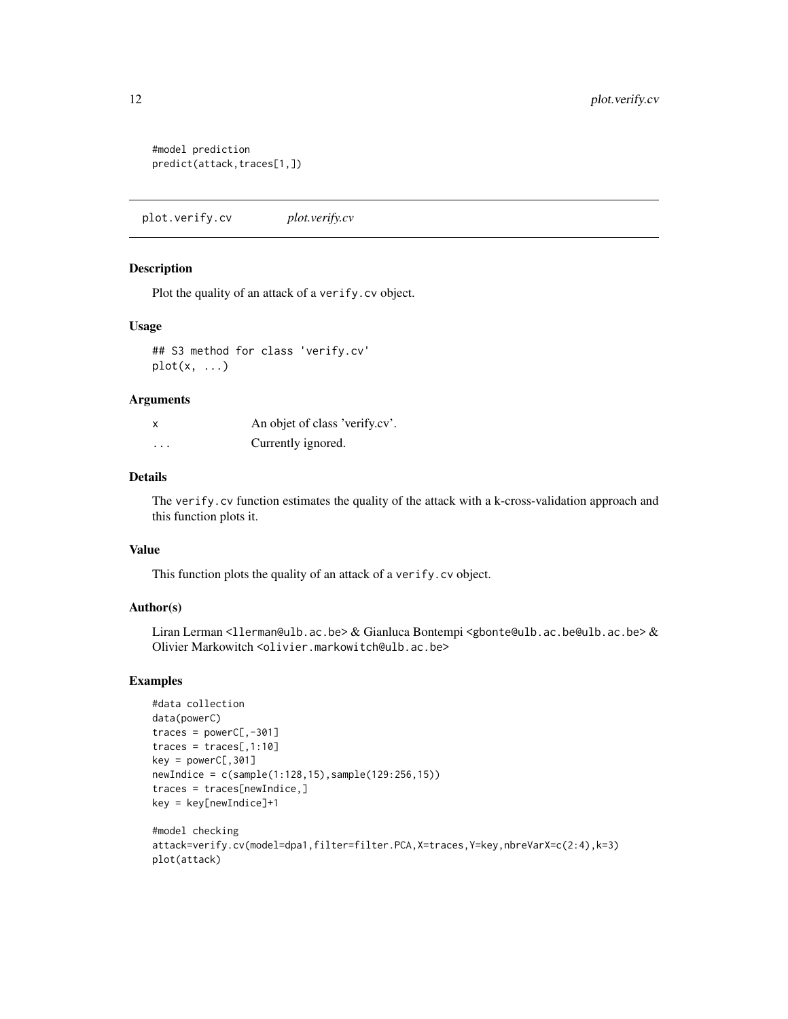```
#model prediction
predict(attack,traces[1,])
```
plot.verify.cv *plot.verify.cv*

## Description

Plot the quality of an attack of a verify.cv object.

## Usage

```
## S3 method for class 'verify.cv'
plot(x, \ldots)
```
#### Arguments

| X                       | An objet of class 'verify.cv'. |
|-------------------------|--------------------------------|
| $\cdot$ $\cdot$ $\cdot$ | Currently ignored.             |

## Details

The verify.cv function estimates the quality of the attack with a k-cross-validation approach and this function plots it.

#### Value

This function plots the quality of an attack of a verify.cv object.

## Author(s)

Liran Lerman <llerman@ulb.ac.be> & Gianluca Bontempi <gbonte@ulb.ac.be@ulb.ac.be> & Olivier Markowitch <olivier.markowitch@ulb.ac.be>

```
#data collection
data(powerC)
traces = powerC[, -301]traces = traces[, 1:10]key = powerC[, 301]newIndice = c(sample(1:128,15),sample(129:256,15))
traces = traces[newIndice,]
key = key[newIndice]+1
#model checking
attack=verify.cv(model=dpa1,filter=filter.PCA,X=traces,Y=key,nbreVarX=c(2:4),k=3)
plot(attack)
```
<span id="page-11-0"></span>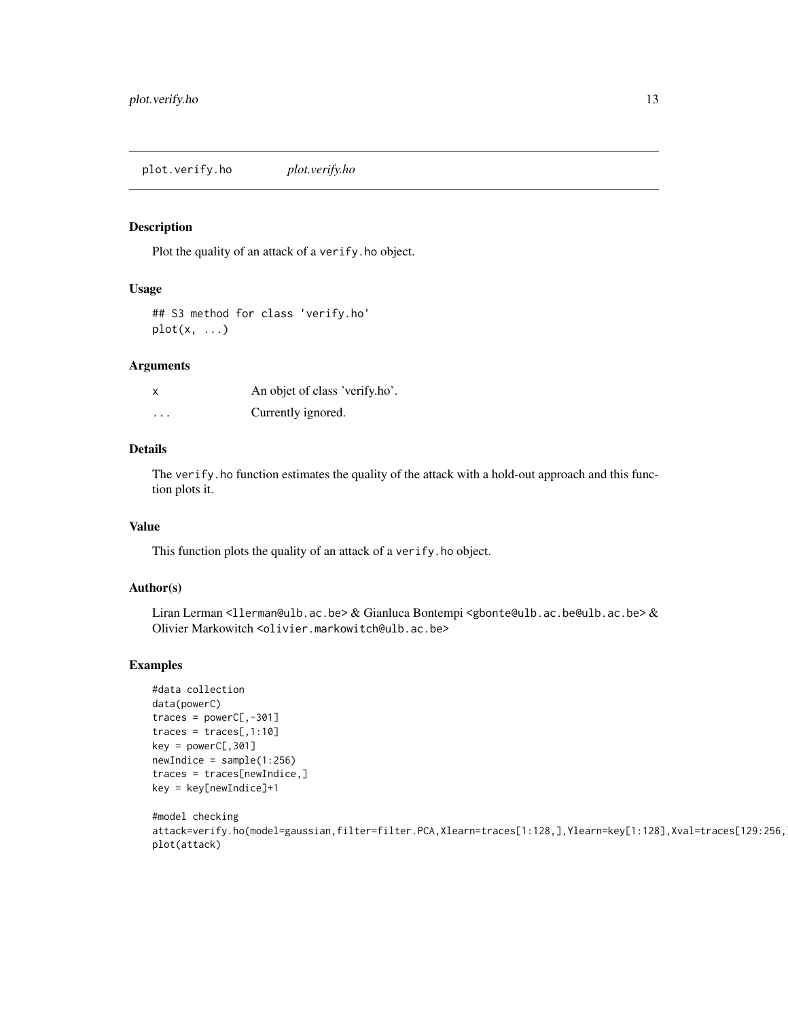<span id="page-12-0"></span>plot.verify.ho *plot.verify.ho*

## Description

Plot the quality of an attack of a verify.ho object.

## Usage

```
## S3 method for class 'verify.ho'
plot(x, \ldots)
```
#### Arguments

| x       | An objet of class 'verify.ho'. |
|---------|--------------------------------|
| $\cdot$ | Currently ignored.             |

## Details

The verify. ho function estimates the quality of the attack with a hold-out approach and this function plots it.

## Value

This function plots the quality of an attack of a verify.ho object.

## Author(s)

Liran Lerman <llerman@ulb.ac.be> & Gianluca Bontempi <gbonte@ulb.ac.be@ulb.ac.be> & Olivier Markowitch <olivier.markowitch@ulb.ac.be>

```
#data collection
data(powerC)
traces = powerC[, -301]traces = traces[, 1:10]key = powerC[, 301]newIndice = sample(1:256)traces = traces[newIndice,]
key = key[newIndice]+1
```

```
#model checking
attack=verify.ho(model=gaussian,filter=filter.PCA,Xlearn=traces[1:128,],Ylearn=key[1:128],Xval=traces[129:256,
plot(attack)
```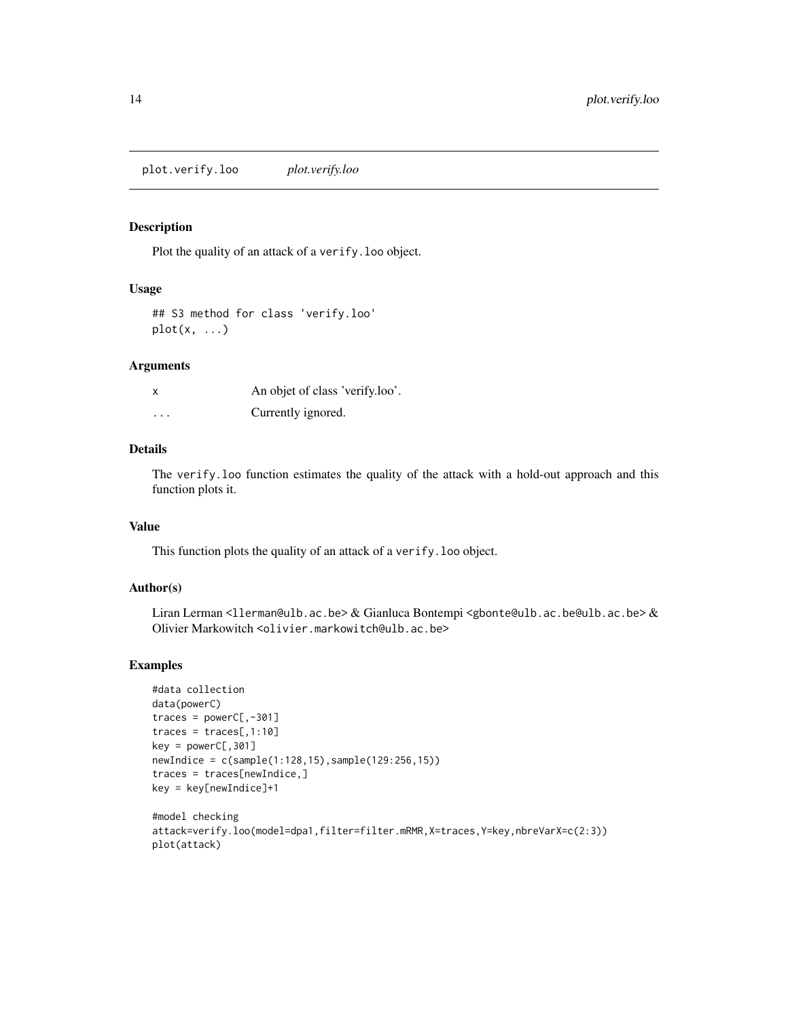<span id="page-13-0"></span>plot.verify.loo *plot.verify.loo*

## Description

Plot the quality of an attack of a verify.loo object.

## Usage

## S3 method for class 'verify.loo'  $plot(x, \ldots)$ 

#### Arguments

|          | An objet of class 'verify.loo'. |
|----------|---------------------------------|
| $\cdots$ | Currently ignored.              |

## Details

The verify.loo function estimates the quality of the attack with a hold-out approach and this function plots it.

## Value

This function plots the quality of an attack of a verify.loo object.

## Author(s)

Liran Lerman <llerman@ulb.ac.be> & Gianluca Bontempi <gbonte@ulb.ac.be@ulb.ac.be> & Olivier Markowitch <olivier.markowitch@ulb.ac.be>

```
#data collection
data(powerC)
traces = powerC[, -301]traces = traces[, 1:10]key = powerC[, 301]newIndice = c(sample(1:128,15), sample(129:256,15))traces = traces[newIndice,]
key = key[newIndice]+1
```

```
#model checking
attack=verify.loo(model=dpa1,filter=filter.mRMR,X=traces,Y=key,nbreVarX=c(2:3))
plot(attack)
```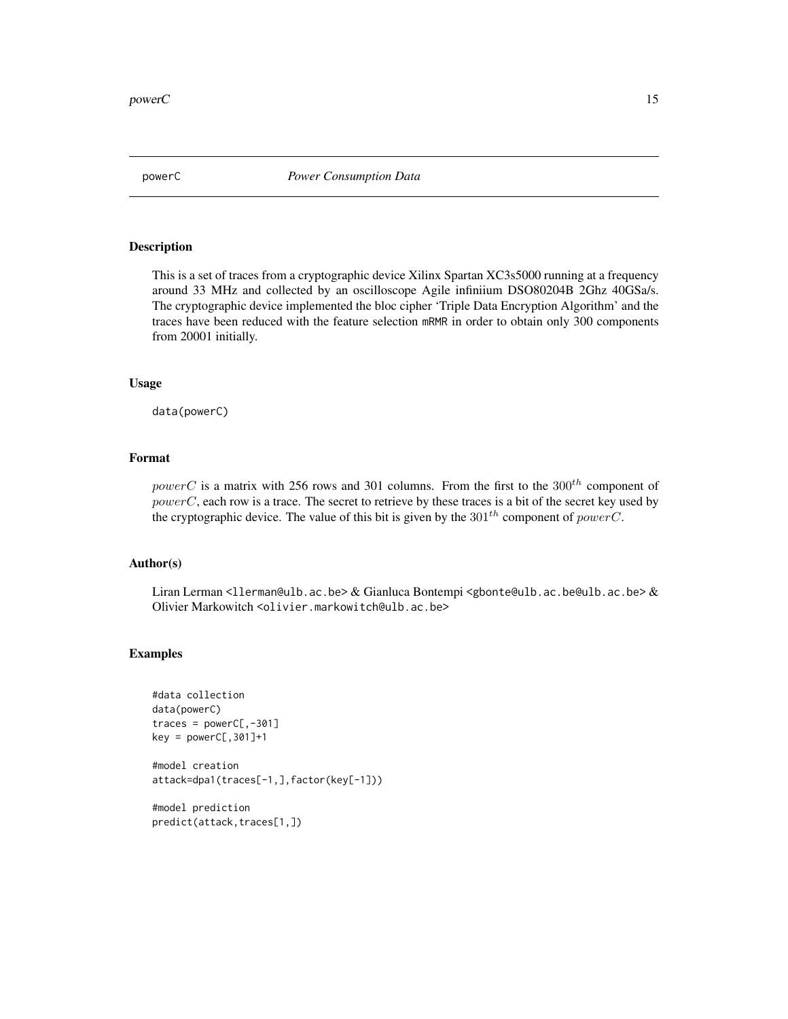<span id="page-14-0"></span>

## Description

This is a set of traces from a cryptographic device Xilinx Spartan XC3s5000 running at a frequency around 33 MHz and collected by an oscilloscope Agile infiniium DSO80204B 2Ghz 40GSa/s. The cryptographic device implemented the bloc cipher 'Triple Data Encryption Algorithm' and the traces have been reduced with the feature selection mRMR in order to obtain only 300 components from 20001 initially.

#### Usage

data(powerC)

## Format

powerC is a matrix with 256 rows and 301 columns. From the first to the  $300<sup>th</sup>$  component of powerC, each row is a trace. The secret to retrieve by these traces is a bit of the secret key used by the cryptographic device. The value of this bit is given by the  $301^{th}$  component of powerC.

#### Author(s)

Liran Lerman <llerman@ulb.ac.be> & Gianluca Bontempi <gbonte@ulb.ac.be@ulb.ac.be> & Olivier Markowitch <olivier.markowitch@ulb.ac.be>

#### Examples

```
#data collection
data(powerC)
traces = powerC[, -301]key = powerC[, 301] + 1#model creation
attack=dpa1(traces[-1,],factor(key[-1]))
```
#model prediction predict(attack,traces[1,])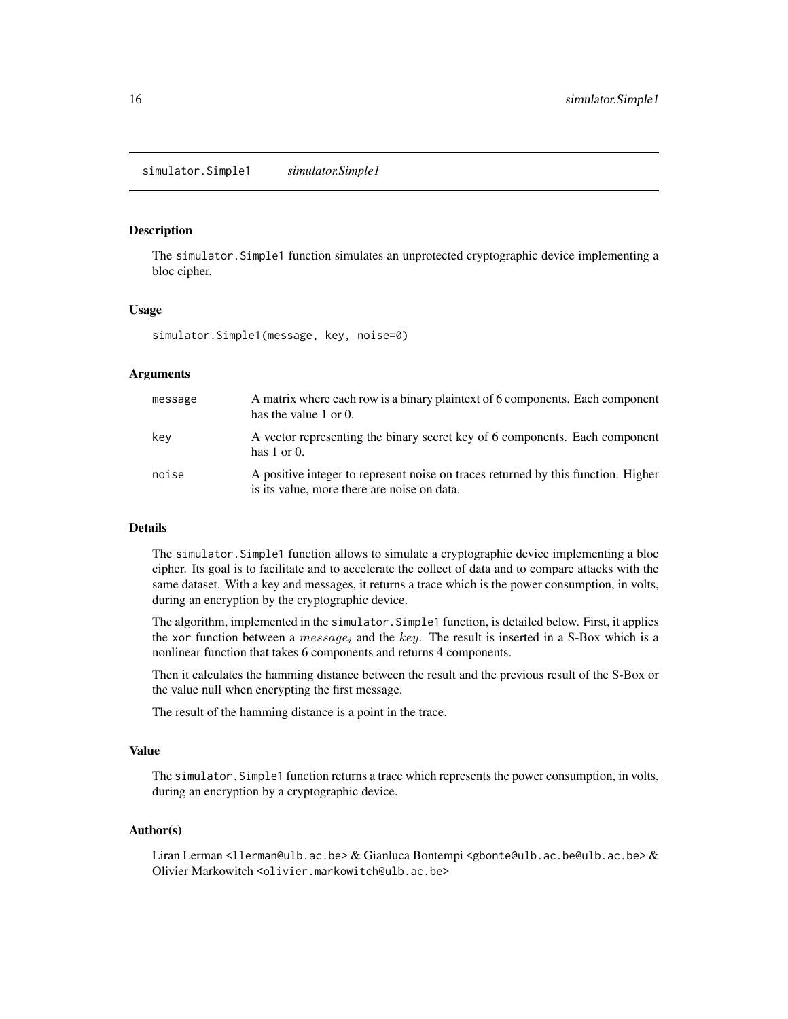#### <span id="page-15-0"></span>Description

The simulator.Simple1 function simulates an unprotected cryptographic device implementing a bloc cipher.

#### Usage

simulator.Simple1(message, key, noise=0)

## Arguments

| message | A matrix where each row is a binary plaintext of 6 components. Each component<br>has the value 1 or 0.                           |
|---------|----------------------------------------------------------------------------------------------------------------------------------|
| kev     | A vector representing the binary secret key of 6 components. Each component<br>has $1$ or $0$ .                                  |
| noise   | A positive integer to represent noise on traces returned by this function. Higher<br>is its value, more there are noise on data. |

## Details

The simulator.Simple1 function allows to simulate a cryptographic device implementing a bloc cipher. Its goal is to facilitate and to accelerate the collect of data and to compare attacks with the same dataset. With a key and messages, it returns a trace which is the power consumption, in volts, during an encryption by the cryptographic device.

The algorithm, implemented in the simulator.Simple1 function, is detailed below. First, it applies the xor function between a *message<sub>i</sub>* and the key. The result is inserted in a S-Box which is a nonlinear function that takes 6 components and returns 4 components.

Then it calculates the hamming distance between the result and the previous result of the S-Box or the value null when encrypting the first message.

The result of the hamming distance is a point in the trace.

#### Value

The simulator.Simple1 function returns a trace which represents the power consumption, in volts, during an encryption by a cryptographic device.

#### Author(s)

Liran Lerman <llerman@ulb.ac.be> & Gianluca Bontempi <gbonte@ulb.ac.be@ulb.ac.be> & Olivier Markowitch <olivier.markowitch@ulb.ac.be>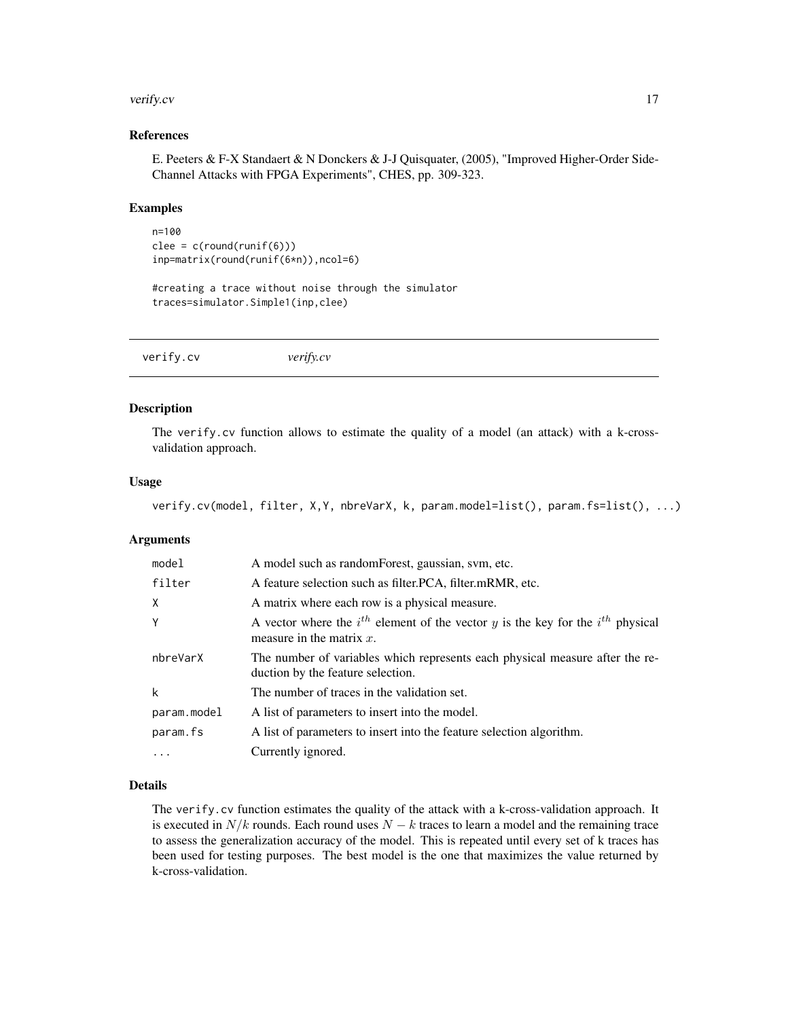#### <span id="page-16-0"></span>verify.cv 17

## References

E. Peeters & F-X Standaert & N Donckers & J-J Quisquater, (2005), "Improved Higher-Order Side-Channel Attacks with FPGA Experiments", CHES, pp. 309-323.

#### Examples

```
n=100
clee = c(round(runif(6)))inp=matrix(round(runif(6*n)),ncol=6)
```

```
#creating a trace without noise through the simulator
traces=simulator.Simple1(inp,clee)
```
verify.cv *verify.cv*

#### Description

The verify.cv function allows to estimate the quality of a model (an attack) with a k-crossvalidation approach.

#### Usage

```
verify.cv(model, filter, X,Y, nbreVarX, k, param.model=list(), param.fs=list(), ...)
```
#### **Arguments**

| model       | A model such as random Forest, gaussian, svm, etc.                                                                      |
|-------------|-------------------------------------------------------------------------------------------------------------------------|
| filter      | A feature selection such as filter. PCA, filter. mRMR, etc.                                                             |
| X           | A matrix where each row is a physical measure.                                                                          |
| Y           | A vector where the $i^{th}$ element of the vector y is the key for the $i^{th}$ physical<br>measure in the matrix $x$ . |
| nbreVarX    | The number of variables which represents each physical measure after the re-<br>duction by the feature selection.       |
| k           | The number of traces in the validation set.                                                                             |
| param.model | A list of parameters to insert into the model.                                                                          |
| param.fs    | A list of parameters to insert into the feature selection algorithm.                                                    |
| .           | Currently ignored.                                                                                                      |

## Details

The verify.cv function estimates the quality of the attack with a k-cross-validation approach. It is executed in  $N/k$  rounds. Each round uses  $N - k$  traces to learn a model and the remaining trace to assess the generalization accuracy of the model. This is repeated until every set of k traces has been used for testing purposes. The best model is the one that maximizes the value returned by k-cross-validation.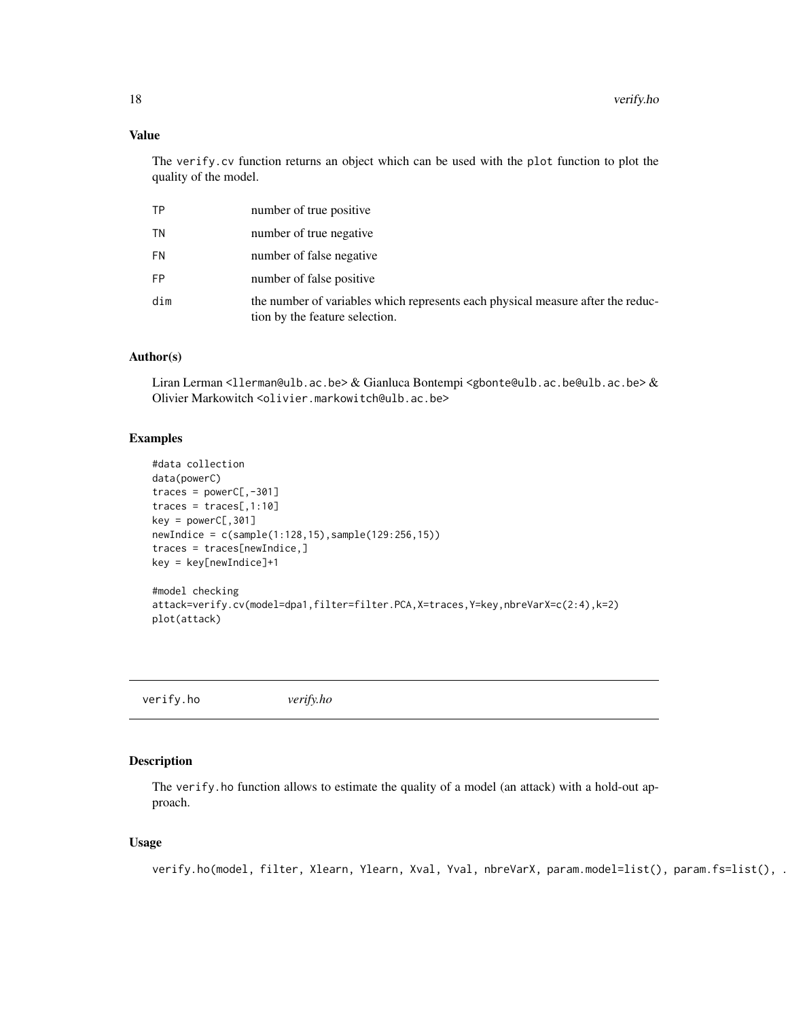## <span id="page-17-0"></span>Value

The verify.cv function returns an object which can be used with the plot function to plot the quality of the model.

| ТP  | number of true positive                                                                                           |
|-----|-------------------------------------------------------------------------------------------------------------------|
| ΤN  | number of true negative                                                                                           |
| FN  | number of false negative                                                                                          |
| FP  | number of false positive                                                                                          |
| dim | the number of variables which represents each physical measure after the reduc-<br>tion by the feature selection. |

#### Author(s)

Liran Lerman <llerman@ulb.ac.be> & Gianluca Bontempi <gbonte@ulb.ac.be@ulb.ac.be> & Olivier Markowitch <olivier.markowitch@ulb.ac.be>

## Examples

```
#data collection
data(powerC)
traces = powerC[, -301]traces = trace[, 1:10]key = powerC[, 301]newIndice = c(sample(1:128,15),sample(129:256,15))
traces = traces[newIndice,]
key = key[newIndice]+1
#model checking
attack=verify.cv(model=dpa1,filter=filter.PCA,X=traces,Y=key,nbreVarX=c(2:4),k=2)
plot(attack)
```
verify.ho *verify.ho*

#### Description

The verify.ho function allows to estimate the quality of a model (an attack) with a hold-out approach.

## Usage

verify.ho(model, filter, Xlearn, Ylearn, Xval, Yval, nbreVarX, param.model=list(), param.fs=list(), .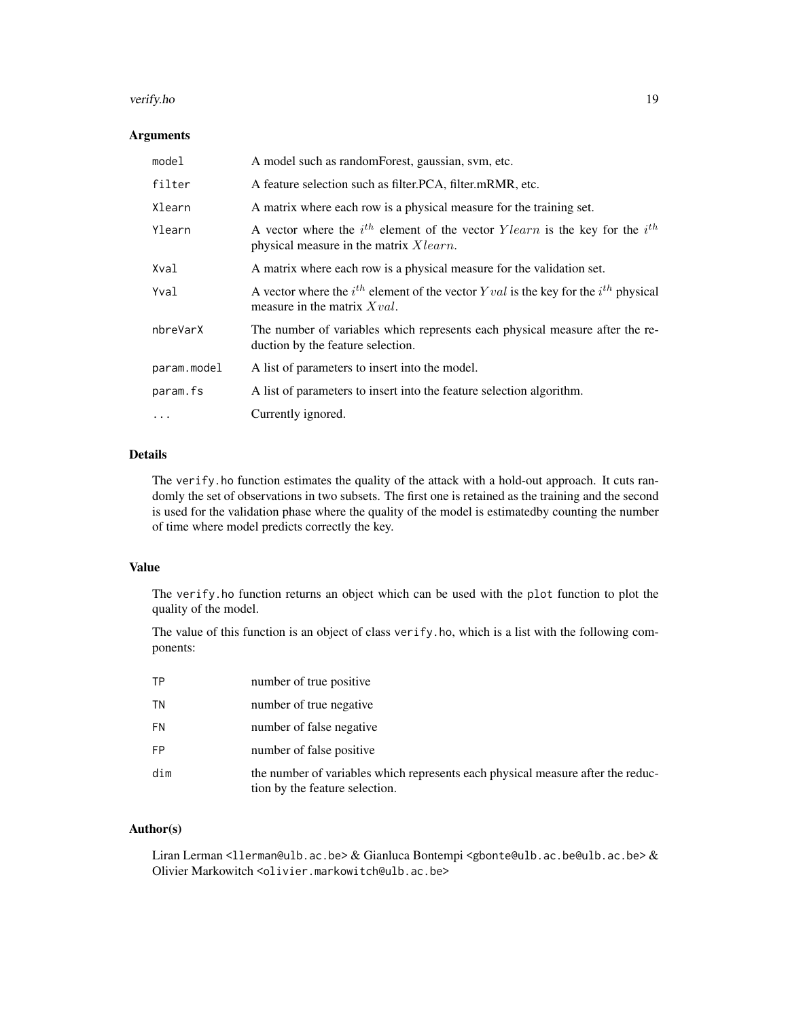#### verify.ho 19

## Arguments

| model       | A model such as randomForest, gaussian, svm, etc.                                                                                        |
|-------------|------------------------------------------------------------------------------------------------------------------------------------------|
| filter      | A feature selection such as filter. PCA, filter. mRMR, etc.                                                                              |
| Xlearn      | A matrix where each row is a physical measure for the training set.                                                                      |
| Ylearn      | A vector where the $i^{th}$ element of the vector $Ylearn$ is the key for the $i^{th}$<br>physical measure in the matrix <i>X</i> learn. |
| Xval        | A matrix where each row is a physical measure for the validation set.                                                                    |
| Yval        | A vector where the $i^{th}$ element of the vector Yval is the key for the $i^{th}$ physical<br>measure in the matrix $Xval$ .            |
| nbreVarX    | The number of variables which represents each physical measure after the re-<br>duction by the feature selection.                        |
| param.model | A list of parameters to insert into the model.                                                                                           |
| param.fs    | A list of parameters to insert into the feature selection algorithm.                                                                     |
| $\ddots$ .  | Currently ignored.                                                                                                                       |

## Details

The verify.ho function estimates the quality of the attack with a hold-out approach. It cuts randomly the set of observations in two subsets. The first one is retained as the training and the second is used for the validation phase where the quality of the model is estimatedby counting the number of time where model predicts correctly the key.

## Value

The verify.ho function returns an object which can be used with the plot function to plot the quality of the model.

The value of this function is an object of class verify.ho, which is a list with the following components:

| ΤP        | number of true positive                                                                                           |
|-----------|-------------------------------------------------------------------------------------------------------------------|
| ΤN        | number of true negative                                                                                           |
| <b>FN</b> | number of false negative                                                                                          |
| FP        | number of false positive                                                                                          |
| dim       | the number of variables which represents each physical measure after the reduc-<br>tion by the feature selection. |

## Author(s)

Liran Lerman <llerman@ulb.ac.be> & Gianluca Bontempi <gbonte@ulb.ac.be@ulb.ac.be> & Olivier Markowitch <olivier.markowitch@ulb.ac.be>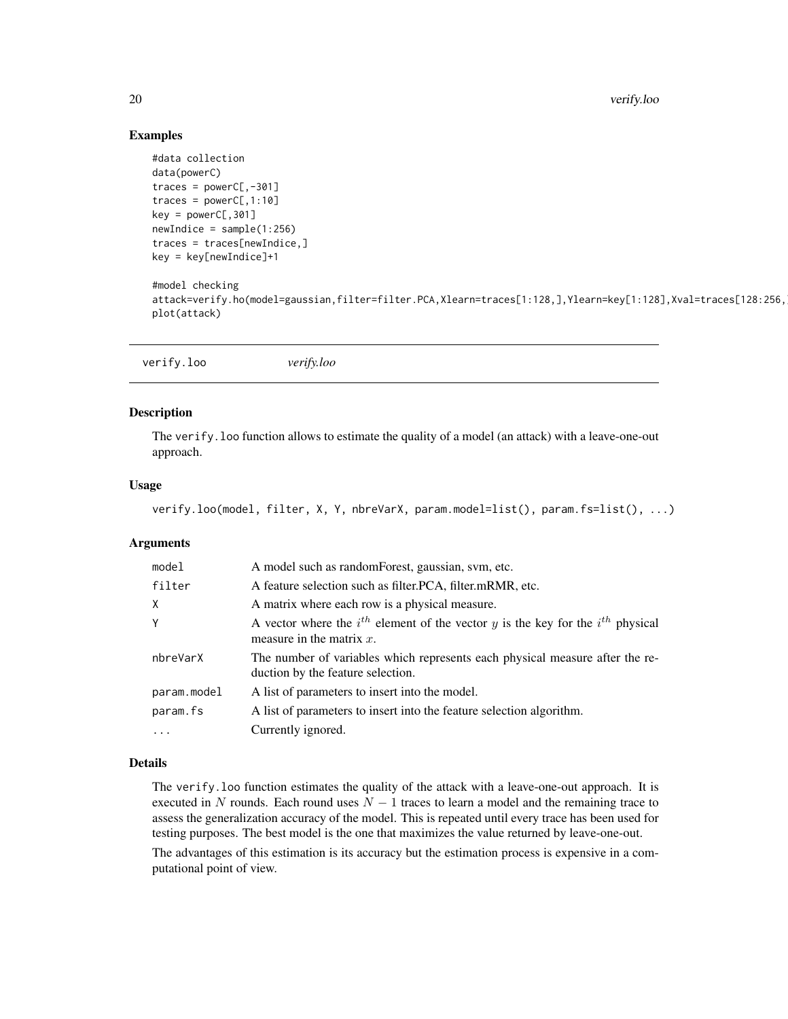## Examples

```
#data collection
data(powerC)
traces = powerC[, -301]traces = powerC[, 1:10]key = powerC[, 301]newIndice = sample(1:256)traces = traces[newIndice,]
key = key[newIndice]+1
#model checking
attack=verify.ho(model=gaussian,filter=filter.PCA,Xlearn=traces[1:128,],Ylearn=key[1:128],Xval=traces[128:256,
plot(attack)
```

| verify.loo | verify.loo |  |  |
|------------|------------|--|--|
|------------|------------|--|--|

## Description

The verify.loo function allows to estimate the quality of a model (an attack) with a leave-one-out approach.

#### Usage

```
verify.loo(model, filter, X, Y, nbreVarX, param.model=list(), param.fs=list(), ...)
```
## Arguments

| model       | A model such as random Forest, gaussian, svm, etc.                                                                      |
|-------------|-------------------------------------------------------------------------------------------------------------------------|
| filter      | A feature selection such as filter. PCA, filter. mRMR, etc.                                                             |
| X           | A matrix where each row is a physical measure.                                                                          |
| Y           | A vector where the $i^{th}$ element of the vector y is the key for the $i^{th}$ physical<br>measure in the matrix $x$ . |
| nbreVarX    | The number of variables which represents each physical measure after the re-<br>duction by the feature selection.       |
| param.model | A list of parameters to insert into the model.                                                                          |
| param.fs    | A list of parameters to insert into the feature selection algorithm.                                                    |
| $\cdot$     | Currently ignored.                                                                                                      |

## Details

The verify.loo function estimates the quality of the attack with a leave-one-out approach. It is executed in N rounds. Each round uses  $N - 1$  traces to learn a model and the remaining trace to assess the generalization accuracy of the model. This is repeated until every trace has been used for testing purposes. The best model is the one that maximizes the value returned by leave-one-out.

The advantages of this estimation is its accuracy but the estimation process is expensive in a computational point of view.

<span id="page-19-0"></span>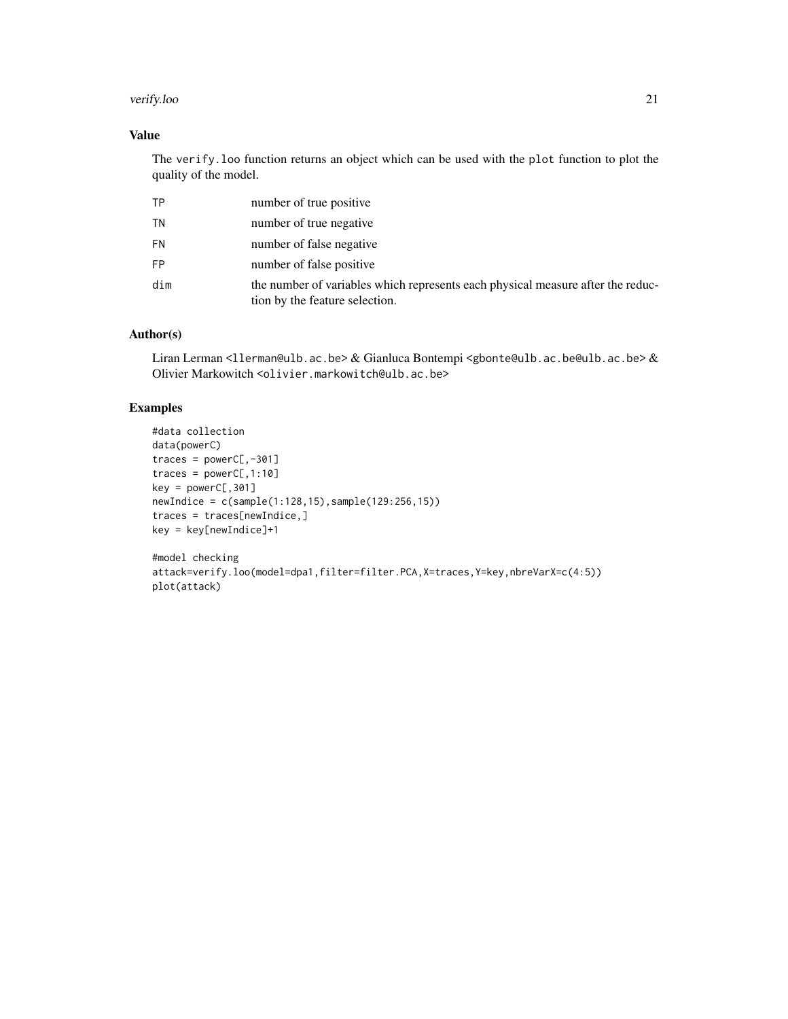#### verify.loo 21

## Value

The verify.loo function returns an object which can be used with the plot function to plot the quality of the model.

| ΤP        | number of true positive                                                                                           |
|-----------|-------------------------------------------------------------------------------------------------------------------|
| ΤN        | number of true negative                                                                                           |
| <b>FN</b> | number of false negative                                                                                          |
| <b>FP</b> | number of false positive                                                                                          |
| dim       | the number of variables which represents each physical measure after the reduc-<br>tion by the feature selection. |

## Author(s)

Liran Lerman <llerman@ulb.ac.be> & Gianluca Bontempi <gbonte@ulb.ac.be@ulb.ac.be> & Olivier Markowitch <olivier.markowitch@ulb.ac.be>

```
#data collection
data(powerC)
traces = powerC[, -301]traces = powerC[, 1:10]key = powerC[, 301]newIndice = c(sample(1:128,15),sample(129:256,15))
traces = traces[newIndice,]
key = key[newIndice]+1
```

```
#model checking
attack=verify.loo(model=dpa1,filter=filter.PCA,X=traces,Y=key,nbreVarX=c(4:5))
plot(attack)
```